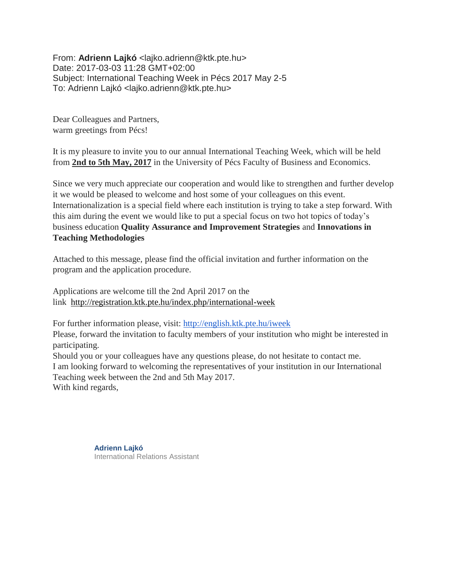From: **Adrienn Lajkó** <lajko.adrienn@ktk.pte.hu> Date: 2017-03-03 11:28 GMT+02:00 Subject: International Teaching Week in Pécs 2017 May 2-5 To: Adrienn Lajkó <lajko.adrienn@ktk.pte.hu>

Dear Colleagues and Partners, warm greetings from Pécs!

It is my pleasure to invite you to our annual International Teaching Week, which will be held from **2nd to 5th May, 2017** in the University of Pécs Faculty of Business and Economics.

Since we very much appreciate our cooperation and would like to strengthen and further develop it we would be pleased to welcome and host some of your colleagues on this event. Internationalization is a special field where each institution is trying to take a step forward. With this aim during the event we would like to put a special focus on two hot topics of today's business education **Quality Assurance and Improvement Strategies** and **Innovations in Teaching Methodologies**

Attached to this message, please find the official invitation and further information on the program and the application procedure.

Applications are welcome till the 2nd April 2017 on the link <http://registration.ktk.pte.hu/index.php/international-week>

For further information please, visit: <http://english.ktk.pte.hu/iweek> Please, forward the invitation to faculty members of your institution who might be interested in participating. Should you or your colleagues have any questions please, do not hesitate to contact me. I am looking forward to welcoming the representatives of your institution in our International Teaching week between the 2nd and 5th May 2017. With kind regards,

> **Adrienn Lajkó** International Relations Assistant